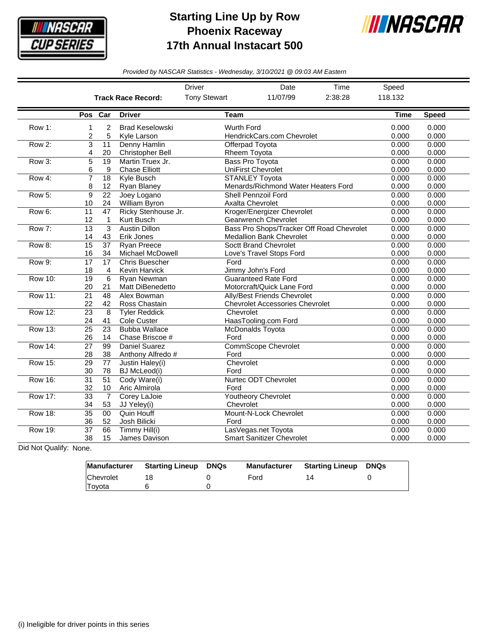

## **Starting Line Up by Row Phoenix Raceway 17th Annual Instacart 500**



*Provided by NASCAR Statistics - Wednesday, 3/10/2021 @ 09:03 AM Eastern*

|                |                       |                       |                                               | Driver                             | Date                                                                         | Time           |                |                |
|----------------|-----------------------|-----------------------|-----------------------------------------------|------------------------------------|------------------------------------------------------------------------------|----------------|----------------|----------------|
|                |                       |                       | <b>Track Race Record:</b>                     | <b>Tony Stewart</b>                | 11/07/99                                                                     | 2:38:28        | 118.132        |                |
|                | Pos Car               |                       | <b>Driver</b>                                 | <b>Team</b>                        |                                                                              |                | <b>Time</b>    | <b>Speed</b>   |
| Row 1:         | 1<br>2                | $\overline{c}$<br>5   | <b>Brad Keselowski</b><br>Kyle Larson         | <b>Wurth Ford</b>                  | HendrickCars.com Chevrolet                                                   |                | 0.000<br>0.000 | 0.000<br>0.000 |
| Row 2:         | $\overline{3}$<br>4   | 11<br>20              | Denny Hamlin<br>Christopher Bell              | Rheem Toyota                       | Offerpad Toyota                                                              | 0.000<br>0.000 | 0.000<br>0.000 |                |
| Row 3:         | 5<br>6                | 19<br>9               | Martin Truex Jr.<br><b>Chase Elliott</b>      |                                    | <b>Bass Pro Toyota</b><br><b>UniFirst Chevrolet</b>                          | 0.000<br>0.000 | 0.000<br>0.000 |                |
| Row 4:         | $\overline{7}$<br>8   | 18<br>12              | <b>Kyle Busch</b><br>Ryan Blaney              |                                    | <b>STANLEY Toyota</b><br>Menards/Richmond Water Heaters Ford                 | 0.000<br>0.000 | 0.000<br>0.000 |                |
| Row 5:         | $\overline{9}$<br>10  | $\overline{22}$<br>24 | Joey Logano<br>William Byron                  |                                    | <b>Shell Pennzoil Ford</b><br><b>Axalta Chevrolet</b>                        | 0.000<br>0.000 | 0.000<br>0.000 |                |
| Row 6:         | 11<br>12              | 47<br>1               | Ricky Stenhouse Jr.<br>Kurt Busch             |                                    | Kroger/Energizer Chevrolet<br><b>Gearwrench Chevrolet</b>                    | 0.000<br>0.000 | 0.000<br>0.000 |                |
| Row 7:         | $\overline{13}$<br>14 | 3<br>43               | <b>Austin Dillon</b><br>Erik Jones            |                                    | Bass Pro Shops/Tracker Off Road Chevrolet<br><b>Medallion Bank Chevrolet</b> |                | 0.000<br>0.000 | 0.000<br>0.000 |
| Row 8:         | 15<br>16              | 37<br>34              | <b>Ryan Preece</b><br><b>Michael McDowell</b> |                                    | Soctt Brand Chevrolet<br>Love's Travel Stops Ford                            |                | 0.000<br>0.000 | 0.000<br>0.000 |
| Row 9:         | $\overline{17}$<br>18 | $\overline{17}$<br>4  | <b>Chris Buescher</b><br>Kevin Harvick        | Ford                               | Jimmy John's Ford                                                            |                | 0.000<br>0.000 | 0.000<br>0.000 |
| <b>Row 10:</b> | $\overline{19}$<br>20 | $6\phantom{1}6$<br>21 | <b>Ryan Newman</b><br>Matt DiBenedetto        |                                    | <b>Guaranteed Rate Ford</b><br>Motorcraft/Quick Lane Ford                    | 0.000<br>0.000 | 0.000<br>0.000 |                |
| <b>Row 11:</b> | $\overline{21}$<br>22 | 48<br>42              | Alex Bowman<br>Ross Chastain                  |                                    | Ally/Best Friends Chevrolet<br><b>Chevrolet Accessories Chevrolet</b>        | 0.000<br>0.000 | 0.000<br>0.000 |                |
| <b>Row 12:</b> | 23<br>24              | 8<br>41               | <b>Tyler Reddick</b><br>Cole Custer           | Chevrolet                          | HaasTooling.com Ford                                                         | 0.000<br>0.000 | 0.000<br>0.000 |                |
| <b>Row 13:</b> | $\overline{25}$<br>26 | $\overline{23}$<br>14 | <b>Bubba Wallace</b><br>Chase Briscoe #       | Ford                               | <b>McDonalds Toyota</b>                                                      |                | 0.000<br>0.000 | 0.000<br>0.000 |
| <b>Row 14:</b> | 27<br>28              | 99<br>38              | Daniel Suarez<br>Anthony Alfredo #            | <b>CommScope Chevrolet</b><br>Ford | 0.000<br>0.000                                                               | 0.000<br>0.000 |                |                |
| <b>Row 15:</b> | 29<br>30              | 77<br>78              | Justin Haley(i)<br><b>BJ</b> McLeod(i)        | Chevrolet<br>Ford                  |                                                                              |                | 0.000<br>0.000 | 0.000<br>0.000 |
| <b>Row 16:</b> | $\overline{31}$<br>32 | $\overline{51}$<br>10 | Cody Ware(i)<br>Aric Almirola                 | Ford                               | <b>Nurtec ODT Chevrolet</b>                                                  |                | 0.000<br>0.000 | 0.000<br>0.000 |
| <b>Row 17:</b> | $\overline{33}$<br>34 | $\overline{7}$<br>53  | Corey LaJoie<br>JJ Yeley(i)                   | Chevrolet                          | <b>Youtheory Chevrolet</b>                                                   |                | 0.000<br>0.000 | 0.000<br>0.000 |
| <b>Row 18:</b> | $\overline{35}$<br>36 | 00<br>52              | <b>Quin Houff</b><br>Josh Bilicki             | Ford                               | Mount-N-Lock Chevrolet                                                       |                | 0.000<br>0.000 | 0.000<br>0.000 |
| <b>Row 19:</b> | 37<br>38              | 66<br>15              | Timmy Hill(i)<br>James Davison                |                                    | LasVegas.net Toyota<br><b>Smart Sanitizer Chevrolet</b>                      |                | 0.000<br>0.000 | 0.000<br>0.000 |

Did Not Qualify: None.

|           | Manufacturer Starting Lineup | DNQs | Manufacturer | Starting Lineup | DNQs |
|-----------|------------------------------|------|--------------|-----------------|------|
| Chevrolet |                              |      | Ford         |                 |      |
| Toyota    |                              |      |              |                 |      |